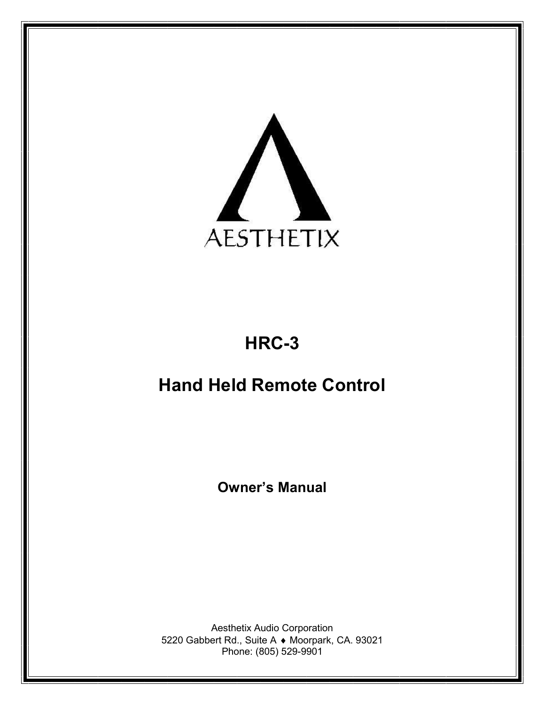

# HRC-3

# Hand Held Remote Control

Owner's Manual

Aesthetix Audio Corporation 5220 Gabbert Rd., Suite A Moorpark, CA. 93021 Phone: (805) 529-9901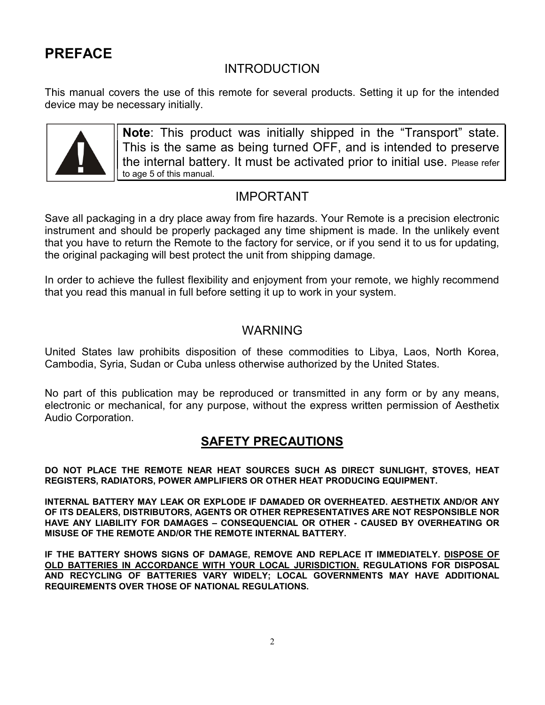# PREFACE

## INTRODUCTION

This manual covers the use of this remote for several products. Setting it up for the intended device may be necessary initially.



Note: This product was initially shipped in the "Transport" state. This is the same as being turned OFF, and is intended to preserve the internal battery. It must be activated prior to initial use. Please refer to age 5 of this manual.

## IMPORTANT

Save all packaging in a dry place away from fire hazards. Your Remote is a precision electronic instrument and should be properly packaged any time shipment is made. In the unlikely event that you have to return the Remote to the factory for service, or if you send it to us for updating, the original packaging will best protect the unit from shipping damage.

In order to achieve the fullest flexibility and enjoyment from your remote, we highly recommend that you read this manual in full before setting it up to work in your system.

## WARNING

United States law prohibits disposition of these commodities to Libya, Laos, North Korea, Cambodia, Syria, Sudan or Cuba unless otherwise authorized by the United States.

No part of this publication may be reproduced or transmitted in any form or by any means, electronic or mechanical, for any purpose, without the express written permission of Aesthetix Audio Corporation.

## SAFETY PRECAUTIONS

DO NOT PLACE THE REMOTE NEAR HEAT SOURCES SUCH AS DIRECT SUNLIGHT, STOVES, HEAT REGISTERS, RADIATORS, POWER AMPLIFIERS OR OTHER HEAT PRODUCING EQUIPMENT.

INTERNAL BATTERY MAY LEAK OR EXPLODE IF DAMADED OR OVERHEATED. AESTHETIX AND/OR ANY OF ITS DEALERS, DISTRIBUTORS, AGENTS OR OTHER REPRESENTATIVES ARE NOT RESPONSIBLE NOR HAVE ANY LIABILITY FOR DAMAGES – CONSEQUENCIAL OR OTHER - CAUSED BY OVERHEATING OR MISUSE OF THE REMOTE AND/OR THE REMOTE INTERNAL BATTERY.

IF THE BATTERY SHOWS SIGNS OF DAMAGE, REMOVE AND REPLACE IT IMMEDIATELY. DISPOSE OF OLD BATTERIES IN ACCORDANCE WITH YOUR LOCAL JURISDICTION. REGULATIONS FOR DISPOSAL AND RECYCLING OF BATTERIES VARY WIDELY; LOCAL GOVERNMENTS MAY HAVE ADDITIONAL REQUIREMENTS OVER THOSE OF NATIONAL REGULATIONS.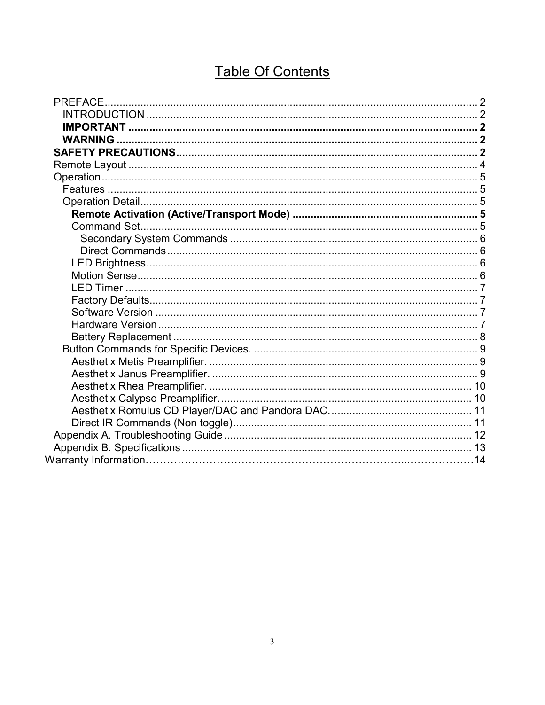# **Table Of Contents**

| PREFACE. |  |
|----------|--|
|          |  |
|          |  |
|          |  |
|          |  |
|          |  |
|          |  |
|          |  |
|          |  |
|          |  |
|          |  |
|          |  |
|          |  |
|          |  |
|          |  |
|          |  |
|          |  |
|          |  |
|          |  |
|          |  |
|          |  |
|          |  |
|          |  |
|          |  |
|          |  |
|          |  |
|          |  |
|          |  |
|          |  |
|          |  |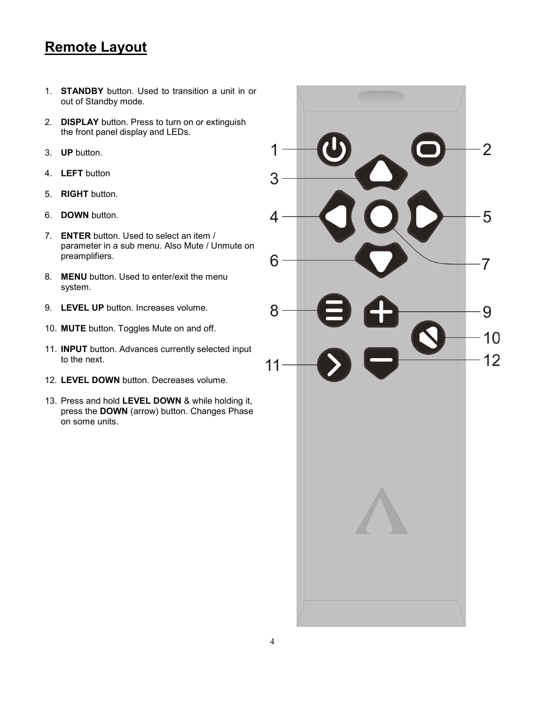# Remote Layout

- 1. STANDBY button. Used to transition a unit in or out of Standby mode.
- 2. **DISPLAY** button. Press to turn on or extinguish the front panel display and LEDs.
- 3. UP button.
- 4. LEFT button
- 5. RIGHT button.
- 6. DOWN button.
- 7. ENTER button. Used to select an item / parameter in a sub menu. Also Mute / Unmute on preamplifiers.
- 8. **MENU** button. Used to enter/exit the menu system.
- 9. **LEVEL UP** button. Increases volume.
- 10. MUTE button. Toggles Mute on and off.
- 11. INPUT button. Advances currently selected input to the next.
- 12. LEVEL DOWN button. Decreases volume.
- 13. Press and hold LEVEL DOWN & while holding it, press the DOWN (arrow) button. Changes Phase on some units.

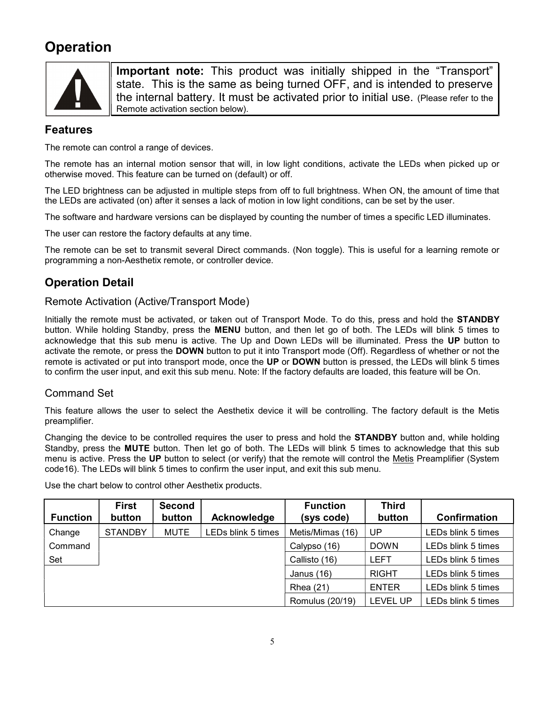# **Operation**



Important note: This product was initially shipped in the "Transport" state. This is the same as being turned OFF, and is intended to preserve the internal battery. It must be activated prior to initial use. (Please refer to the Remote activation section below).

## Features

The remote can control a range of devices.

The remote has an internal motion sensor that will, in low light conditions, activate the LEDs when picked up or otherwise moved. This feature can be turned on (default) or off.

The LED brightness can be adjusted in multiple steps from off to full brightness. When ON, the amount of time that the LEDs are activated (on) after it senses a lack of motion in low light conditions, can be set by the user.

The software and hardware versions can be displayed by counting the number of times a specific LED illuminates.

The user can restore the factory defaults at any time.

The remote can be set to transmit several Direct commands. (Non toggle). This is useful for a learning remote or programming a non-Aesthetix remote, or controller device.

## Operation Detail

## Remote Activation (Active/Transport Mode)

Initially the remote must be activated, or taken out of Transport Mode. To do this, press and hold the STANDBY button. While holding Standby, press the MENU button, and then let go of both. The LEDs will blink 5 times to acknowledge that this sub menu is active. The Up and Down LEDs will be illuminated. Press the UP button to activate the remote, or press the DOWN button to put it into Transport mode (Off). Regardless of whether or not the remote is activated or put into transport mode, once the UP or DOWN button is pressed, the LEDs will blink 5 times to confirm the user input, and exit this sub menu. Note: If the factory defaults are loaded, this feature will be On.

## Command Set

This feature allows the user to select the Aesthetix device it will be controlling. The factory default is the Metis preamplifier.

Changing the device to be controlled requires the user to press and hold the STANDBY button and, while holding Standby, press the **MUTE** button. Then let go of both. The LEDs will blink 5 times to acknowledge that this sub menu is active. Press the UP button to select (or verify) that the remote will control the Metis Preamplifier (System code16). The LEDs will blink 5 times to confirm the user input, and exit this sub menu.

| <b>Function</b> | <b>First</b><br>button | <b>Second</b><br>button | Acknowledge        | <b>Function</b><br>(sys code) | <b>Third</b><br>button | Confirmation       |
|-----------------|------------------------|-------------------------|--------------------|-------------------------------|------------------------|--------------------|
| Change          | <b>STANDBY</b>         | <b>MUTE</b>             | LEDs blink 5 times | Metis/Mimas (16)              | UP                     | LEDs blink 5 times |
| Command         |                        |                         |                    | Calypso (16)                  | <b>DOWN</b>            | LEDs blink 5 times |
| Set             |                        |                         |                    | Callisto (16)                 | <b>LEFT</b>            | LEDs blink 5 times |
|                 |                        |                         |                    | Janus (16)                    | <b>RIGHT</b>           | LEDs blink 5 times |
|                 |                        |                         |                    | <b>Rhea</b> (21)              | <b>ENTER</b>           | LEDs blink 5 times |
|                 |                        |                         |                    | <b>Romulus (20/19)</b>        | <b>LEVEL UP</b>        | LEDs blink 5 times |

Use the chart below to control other Aesthetix products.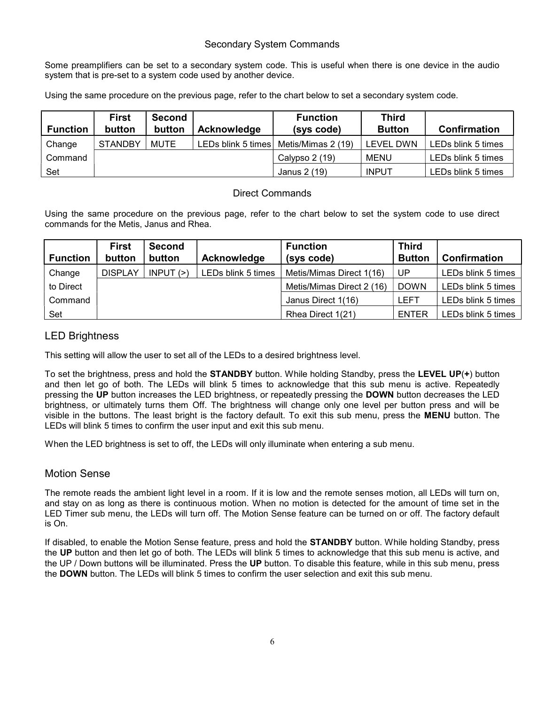### Secondary System Commands

Some preamplifiers can be set to a secondary system code. This is useful when there is one device in the audio system that is pre-set to a system code used by another device.

Using the same procedure on the previous page, refer to the chart below to set a secondary system code.

| <b>Function</b> | <b>First</b><br>button | <b>Second</b><br>button | Acknowledge | <b>Function</b><br>(sys code)           | <b>Third</b><br><b>Button</b> | <b>Confirmation</b> |
|-----------------|------------------------|-------------------------|-------------|-----------------------------------------|-------------------------------|---------------------|
| Change          | <b>STANDBY</b>         | <b>MUTE</b>             |             | LEDs blink 5 times   Metis/Mimas 2 (19) | LEVEL DWN                     | LEDs blink 5 times  |
| Command         |                        |                         |             | Calypso 2 (19)                          | MENU                          | LEDs blink 5 times  |
| Set             |                        |                         |             | Janus 2 (19)                            | <b>INPUT</b>                  | LEDs blink 5 times  |

### Direct Commands

Using the same procedure on the previous page, refer to the chart below to set the system code to use direct commands for the Metis, Janus and Rhea.

|                 | <b>First</b>   | <b>Second</b> |                    | <b>Function</b>           | <b>Third</b>  |                    |
|-----------------|----------------|---------------|--------------------|---------------------------|---------------|--------------------|
| <b>Function</b> | button         | button        | Acknowledge        | (sys code)                | <b>Button</b> | Confirmation       |
| Change          | <b>DISPLAY</b> | INPUT(>)      | LEDs blink 5 times | Metis/Mimas Direct 1(16)  | UP            | LEDs blink 5 times |
| to Direct       |                |               |                    | Metis/Mimas Direct 2 (16) | <b>DOWN</b>   | LEDs blink 5 times |
| Command         |                |               |                    | Janus Direct 1(16)        | LEFT          | LEDs blink 5 times |
| Set             |                |               |                    | Rhea Direct 1(21)         | ENTER         | LEDs blink 5 times |

## LED Brightness

This setting will allow the user to set all of the LEDs to a desired brightness level.

To set the brightness, press and hold the STANDBY button. While holding Standby, press the LEVEL UP(+) button and then let go of both. The LEDs will blink 5 times to acknowledge that this sub menu is active. Repeatedly pressing the UP button increases the LED brightness, or repeatedly pressing the DOWN button decreases the LED brightness, or ultimately turns them Off. The brightness will change only one level per button press and will be visible in the buttons. The least bright is the factory default. To exit this sub menu, press the MENU button. The LEDs will blink 5 times to confirm the user input and exit this sub menu.

When the LED brightness is set to off, the LEDs will only illuminate when entering a sub menu.

## Motion Sense

The remote reads the ambient light level in a room. If it is low and the remote senses motion, all LEDs will turn on, and stay on as long as there is continuous motion. When no motion is detected for the amount of time set in the LED Timer sub menu, the LEDs will turn off. The Motion Sense feature can be turned on or off. The factory default is On.

If disabled, to enable the Motion Sense feature, press and hold the STANDBY button. While holding Standby, press the UP button and then let go of both. The LEDs will blink 5 times to acknowledge that this sub menu is active, and the UP / Down buttons will be illuminated. Press the UP button. To disable this feature, while in this sub menu, press the DOWN button. The LEDs will blink 5 times to confirm the user selection and exit this sub menu.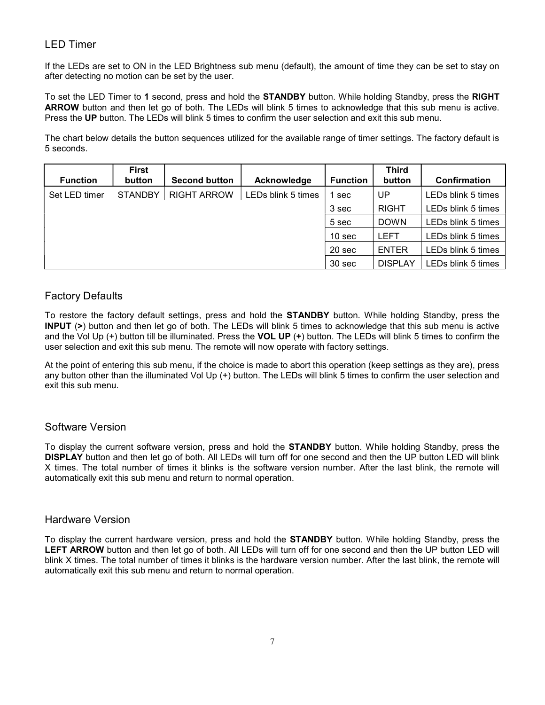## LED Timer

If the LEDs are set to ON in the LED Brightness sub menu (default), the amount of time they can be set to stay on after detecting no motion can be set by the user.

To set the LED Timer to 1 second, press and hold the STANDBY button. While holding Standby, press the RIGHT ARROW button and then let go of both. The LEDs will blink 5 times to acknowledge that this sub menu is active. Press the UP button. The LEDs will blink 5 times to confirm the user selection and exit this sub menu.

The chart below details the button sequences utilized for the available range of timer settings. The factory default is 5 seconds.

| <b>Function</b> | <b>First</b><br>button | <b>Second button</b> | Acknowledge        | <b>Function</b>   | <b>Third</b><br>button | <b>Confirmation</b> |
|-----------------|------------------------|----------------------|--------------------|-------------------|------------------------|---------------------|
| Set LED timer   | <b>STANDBY</b>         | <b>RIGHT ARROW</b>   | LEDs blink 5 times | sec               | UP                     | LEDs blink 5 times  |
|                 |                        |                      |                    | 3 sec             | <b>RIGHT</b>           | LEDs blink 5 times  |
|                 |                        |                      |                    | 5 sec             | <b>DOWN</b>            | LEDs blink 5 times  |
|                 |                        |                      |                    | 10 <sub>sec</sub> | <b>LEFT</b>            | LEDs blink 5 times  |
|                 |                        |                      |                    | 20 sec            | <b>ENTER</b>           | LEDs blink 5 times  |
|                 |                        |                      |                    | 30 sec            | <b>DISPLAY</b>         | LEDs blink 5 times  |

## Factory Defaults

To restore the factory default settings, press and hold the STANDBY button. While holding Standby, press the INPUT (>) button and then let go of both. The LEDs will blink 5 times to acknowledge that this sub menu is active and the Vol Up  $(+)$  button till be illuminated. Press the VOL UP  $(+)$  button. The LEDs will blink 5 times to confirm the user selection and exit this sub menu. The remote will now operate with factory settings.

At the point of entering this sub menu, if the choice is made to abort this operation (keep settings as they are), press any button other than the illuminated Vol Up (+) button. The LEDs will blink 5 times to confirm the user selection and exit this sub menu.

## Software Version

To display the current software version, press and hold the STANDBY button. While holding Standby, press the DISPLAY button and then let go of both. All LEDs will turn off for one second and then the UP button LED will blink X times. The total number of times it blinks is the software version number. After the last blink, the remote will automatically exit this sub menu and return to normal operation.

### Hardware Version

To display the current hardware version, press and hold the STANDBY button. While holding Standby, press the LEFT ARROW button and then let go of both. All LEDs will turn off for one second and then the UP button LED will blink X times. The total number of times it blinks is the hardware version number. After the last blink, the remote will automatically exit this sub menu and return to normal operation.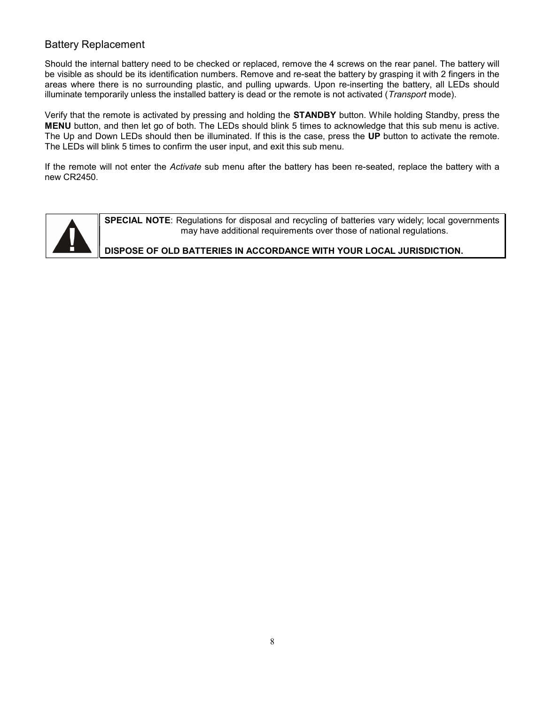## Battery Replacement

Should the internal battery need to be checked or replaced, remove the 4 screws on the rear panel. The battery will be visible as should be its identification numbers. Remove and re-seat the battery by grasping it with 2 fingers in the areas where there is no surrounding plastic, and pulling upwards. Upon re-inserting the battery, all LEDs should illuminate temporarily unless the installed battery is dead or the remote is not activated (Transport mode).

Verify that the remote is activated by pressing and holding the STANDBY button. While holding Standby, press the MENU button, and then let go of both. The LEDs should blink 5 times to acknowledge that this sub menu is active. The Up and Down LEDs should then be illuminated. If this is the case, press the UP button to activate the remote. The LEDs will blink 5 times to confirm the user input, and exit this sub menu.

If the remote will not enter the Activate sub menu after the battery has been re-seated, replace the battery with a new CR2450.



SPECIAL NOTE: Regulations for disposal and recycling of batteries vary widely; local governments may have additional requirements over those of national regulations.

### DISPOSE OF OLD BATTERIES IN ACCORDANCE WITH YOUR LOCAL JURISDICTION.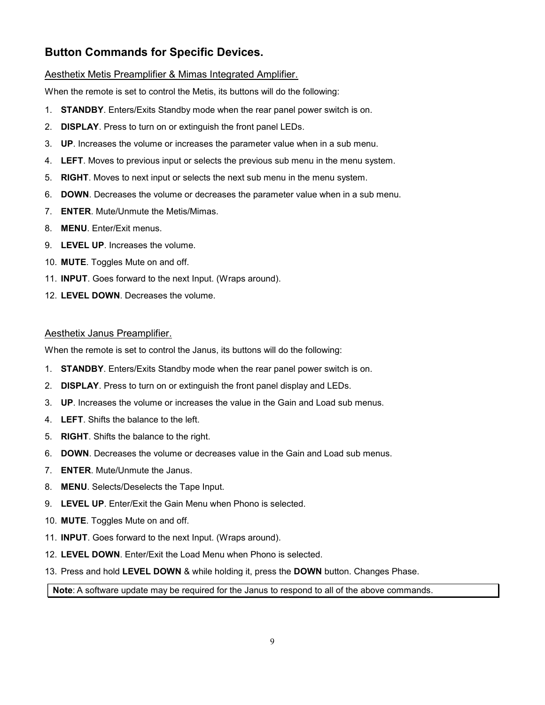## Button Commands for Specific Devices.

#### Aesthetix Metis Preamplifier & Mimas Integrated Amplifier.

When the remote is set to control the Metis, its buttons will do the following:

- 1. STANDBY. Enters/Exits Standby mode when the rear panel power switch is on.
- 2. **DISPLAY**. Press to turn on or extinguish the front panel LEDs.
- 3. UP. Increases the volume or increases the parameter value when in a sub menu.
- 4. LEFT. Moves to previous input or selects the previous sub menu in the menu system.
- 5. RIGHT. Moves to next input or selects the next sub menu in the menu system.
- 6. DOWN. Decreases the volume or decreases the parameter value when in a sub menu.
- 7. ENTER. Mute/Unmute the Metis/Mimas.
- 8. MENU. Enter/Exit menus.
- 9. LEVEL UP. Increases the volume.
- 10. MUTE. Toggles Mute on and off.
- 11. INPUT. Goes forward to the next Input. (Wraps around).
- 12. LEVEL DOWN. Decreases the volume.

#### Aesthetix Janus Preamplifier.

When the remote is set to control the Janus, its buttons will do the following:

- 1. STANDBY. Enters/Exits Standby mode when the rear panel power switch is on.
- 2. DISPLAY. Press to turn on or extinguish the front panel display and LEDs.
- 3. UP. Increases the volume or increases the value in the Gain and Load sub menus.
- 4. LEFT. Shifts the balance to the left.
- 5. RIGHT. Shifts the balance to the right.
- 6. DOWN. Decreases the volume or decreases value in the Gain and Load sub menus.
- 7. ENTER. Mute/Unmute the Janus.
- 8. MENU. Selects/Deselects the Tape Input.
- 9. LEVEL UP. Enter/Exit the Gain Menu when Phono is selected.
- 10. MUTE. Toggles Mute on and off.
- 11. INPUT. Goes forward to the next Input. (Wraps around).
- 12. LEVEL DOWN. Enter/Exit the Load Menu when Phono is selected.
- 13. Press and hold LEVEL DOWN & while holding it, press the DOWN button. Changes Phase.

#### Note: A software update may be required for the Janus to respond to all of the above commands.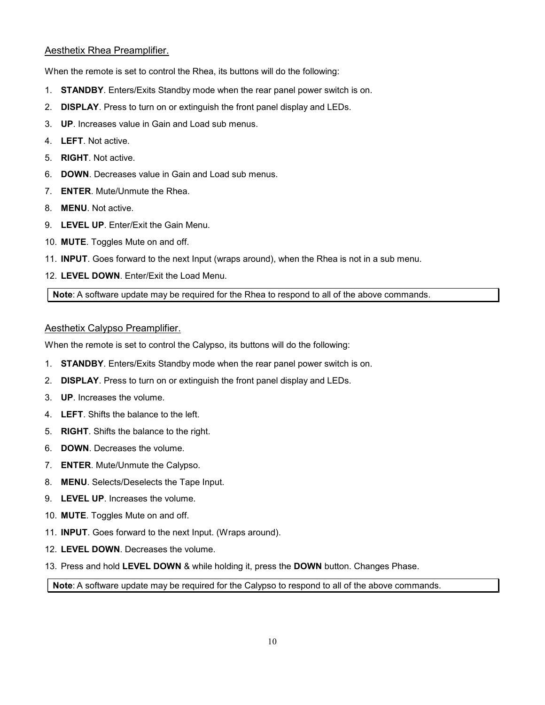### Aesthetix Rhea Preamplifier.

When the remote is set to control the Rhea, its buttons will do the following:

- 1. STANDBY. Enters/Exits Standby mode when the rear panel power switch is on.
- 2. **DISPLAY**. Press to turn on or extinguish the front panel display and LEDs.
- 3. UP. Increases value in Gain and Load sub menus.
- 4. LEFT. Not active.
- 5. RIGHT. Not active.
- 6. DOWN. Decreases value in Gain and Load sub menus.
- 7. ENTER. Mute/Unmute the Rhea.
- 8. MENU. Not active.
- 9. LEVEL UP. Enter/Exit the Gain Menu.
- 10. MUTE. Toggles Mute on and off.
- 11. INPUT. Goes forward to the next Input (wraps around), when the Rhea is not in a sub menu.
- 12. LEVEL DOWN. Enter/Exit the Load Menu.

Note: A software update may be required for the Rhea to respond to all of the above commands.

#### Aesthetix Calypso Preamplifier.

When the remote is set to control the Calypso, its buttons will do the following:

- 1. STANDBY. Enters/Exits Standby mode when the rear panel power switch is on.
- 2. **DISPLAY**. Press to turn on or extinguish the front panel display and LEDs.
- 3. UP. Increases the volume.
- 4. LEFT. Shifts the balance to the left.
- 5. RIGHT. Shifts the balance to the right.
- 6. DOWN. Decreases the volume.
- 7. ENTER. Mute/Unmute the Calypso.
- 8. MENU. Selects/Deselects the Tape Input.
- 9. LEVEL UP. Increases the volume.
- 10. MUTE. Toggles Mute on and off.
- 11. INPUT. Goes forward to the next Input. (Wraps around).
- 12. LEVEL DOWN. Decreases the volume.
- 13. Press and hold LEVEL DOWN & while holding it, press the DOWN button. Changes Phase.

#### Note: A software update may be required for the Calypso to respond to all of the above commands.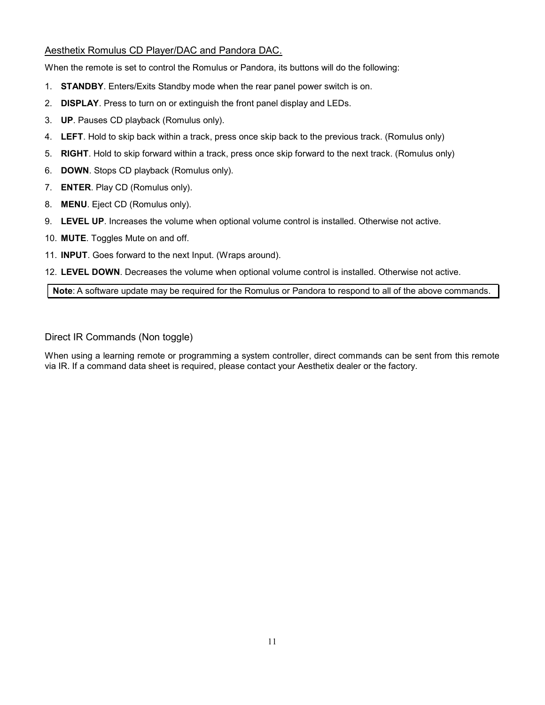### Aesthetix Romulus CD Player/DAC and Pandora DAC.

When the remote is set to control the Romulus or Pandora, its buttons will do the following:

- 1. STANDBY. Enters/Exits Standby mode when the rear panel power switch is on.
- 2. **DISPLAY**. Press to turn on or extinguish the front panel display and LEDs.
- 3. UP. Pauses CD playback (Romulus only).
- 4. LEFT. Hold to skip back within a track, press once skip back to the previous track. (Romulus only)
- 5. RIGHT. Hold to skip forward within a track, press once skip forward to the next track. (Romulus only)
- 6. DOWN. Stops CD playback (Romulus only).
- 7. ENTER. Play CD (Romulus only).
- 8. MENU. Eject CD (Romulus only).
- 9. LEVEL UP. Increases the volume when optional volume control is installed. Otherwise not active.
- 10. MUTE. Toggles Mute on and off.
- 11. INPUT. Goes forward to the next Input. (Wraps around).

12. LEVEL DOWN. Decreases the volume when optional volume control is installed. Otherwise not active.

Note: A software update may be required for the Romulus or Pandora to respond to all of the above commands.

Direct IR Commands (Non toggle)

When using a learning remote or programming a system controller, direct commands can be sent from this remote via IR. If a command data sheet is required, please contact your Aesthetix dealer or the factory.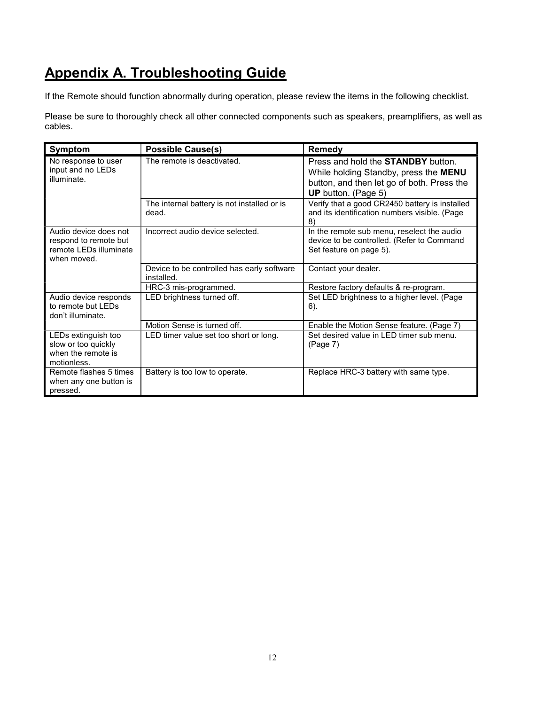# Appendix A. Troubleshooting Guide

If the Remote should function abnormally during operation, please review the items in the following checklist.

Please be sure to thoroughly check all other connected components such as speakers, preamplifiers, as well as cables.

| Symptom                                                                                  | <b>Possible Cause(s)</b>                                 | Remedy                                                                                                                                                         |
|------------------------------------------------------------------------------------------|----------------------------------------------------------|----------------------------------------------------------------------------------------------------------------------------------------------------------------|
| No response to user<br>input and no LEDs<br>illuminate.                                  | The remote is deactivated.                               | Press and hold the <b>STANDBY</b> button.<br>While holding Standby, press the MENU<br>button, and then let go of both. Press the<br><b>UP</b> button. (Page 5) |
|                                                                                          | The internal battery is not installed or is<br>dead.     | Verify that a good CR2450 battery is installed<br>and its identification numbers visible. (Page<br>8)                                                          |
| Audio device does not<br>respond to remote but<br>remote I FDs illuminate<br>when moved. | Incorrect audio device selected.                         | In the remote sub menu, reselect the audio<br>device to be controlled. (Refer to Command<br>Set feature on page 5).                                            |
|                                                                                          | Device to be controlled has early software<br>installed. | Contact your dealer.                                                                                                                                           |
|                                                                                          | HRC-3 mis-programmed.                                    | Restore factory defaults & re-program.                                                                                                                         |
| Audio device responds<br>to remote but LEDs<br>don't illuminate.                         | LED brightness turned off.                               | Set LED brightness to a higher level. (Page<br>6).                                                                                                             |
|                                                                                          | Motion Sense is turned off.                              | Enable the Motion Sense feature. (Page 7)                                                                                                                      |
| LEDs extinguish too<br>slow or too quickly<br>when the remote is<br>motionless.          | LED timer value set too short or long.                   | Set desired value in LED timer sub menu.<br>(Page 7)                                                                                                           |
| Remote flashes 5 times<br>when any one button is<br>pressed.                             | Battery is too low to operate.                           | Replace HRC-3 battery with same type.                                                                                                                          |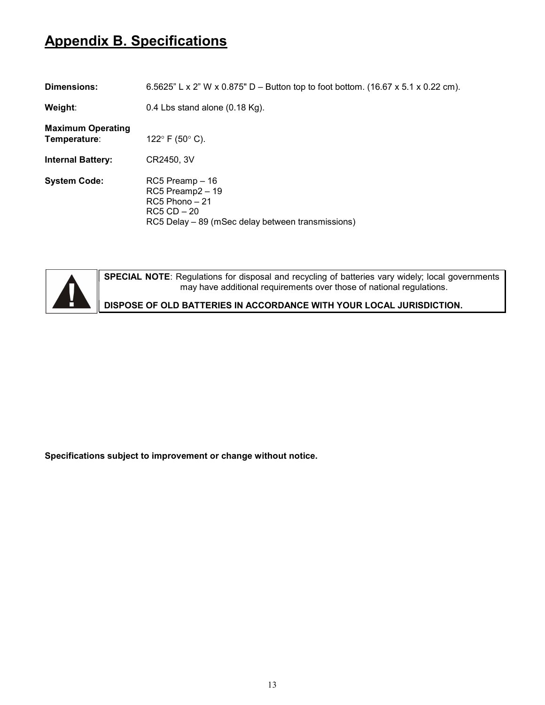# Appendix B. Specifications

| Dimensions:                              | 6.5625" L x 2" W x 0.875" D – Button top to foot bottom. (16.67 x 5.1 x 0.22 cm).                                              |
|------------------------------------------|--------------------------------------------------------------------------------------------------------------------------------|
| Weight:                                  | 0.4 Lbs stand alone $(0.18 \text{ Kg})$ .                                                                                      |
| <b>Maximum Operating</b><br>Temperature: | 122 $\degree$ F (50 $\degree$ C).                                                                                              |
| <b>Internal Battery:</b>                 | CR2450, 3V                                                                                                                     |
| <b>System Code:</b>                      | RC5 Preamp - 16<br>RC5 Preamp2 - 19<br>$RC5$ Phono $-21$<br>$RC5 CD - 20$<br>RC5 Delay – 89 (mSec delay between transmissions) |



SPECIAL NOTE: Regulations for disposal and recycling of batteries vary widely; local governments may have additional requirements over those of national regulations.

DISPOSE OF OLD BATTERIES IN ACCORDANCE WITH YOUR LOCAL JURISDICTION.

Specifications subject to improvement or change without notice.